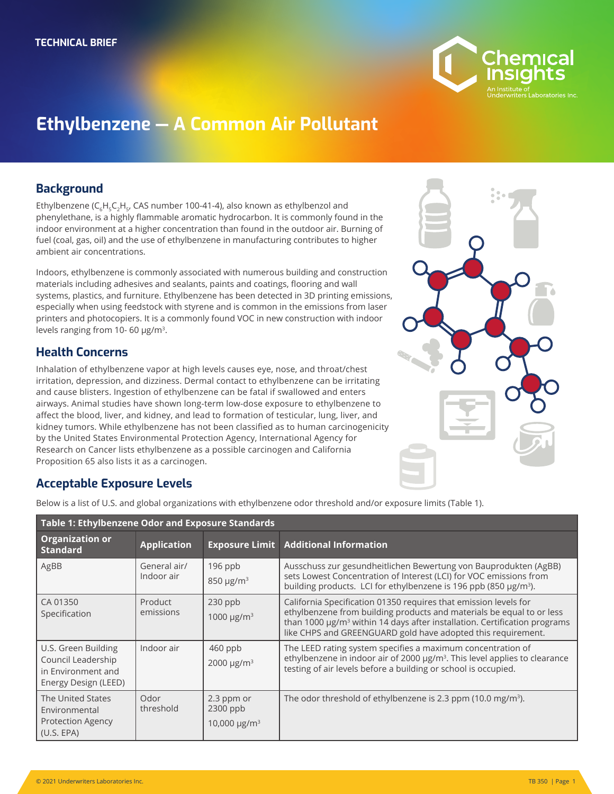

# **Ethylbenzene — A Common Air Pollutant**

#### **Background**

Ethylbenzene (C<sub>c</sub>H<sub>c</sub>C<sub>2</sub>H<sub>c</sub>, CAS number 100-41-4), also known as ethylbenzol and phenylethane, is a highly flammable aromatic hydrocarbon. It is commonly found in the indoor environment at a higher concentration than found in the outdoor air. Burning of fuel (coal, gas, oil) and the use of ethylbenzene in manufacturing contributes to higher ambient air concentrations.

Indoors, ethylbenzene is commonly associated with numerous building and construction materials including adhesives and sealants, paints and coatings, flooring and wall systems, plastics, and furniture. Ethylbenzene has been detected in 3D printing emissions, especially when using feedstock with styrene and is common in the emissions from laser printers and photocopiers. It is a commonly found VOC in new construction with indoor levels ranging from 10- 60 μg/m3.

### **Health Concerns**

Inhalation of ethylbenzene vapor at high levels causes eye, nose, and throat/chest irritation, depression, and dizziness. Dermal contact to ethylbenzene can be irritating and cause blisters. Ingestion of ethylbenzene can be fatal if swallowed and enters airways. Animal studies have shown long-term low-dose exposure to ethylbenzene to affect the blood, liver, and kidney, and lead to formation of testicular, lung, liver, and kidney tumors. While ethylbenzene has not been classified as to human carcinogenicity by the United States Environmental Protection Agency, International Agency for Research on Cancer lists ethylbenzene as a possible carcinogen and California Proposition 65 also lists it as a carcinogen.



## **Acceptable Exposure Levels**

Below is a list of U.S. and global organizations with ethylbenzene odor threshold and/or exposure limits (Table 1).

| Table 1: Ethylbenzene Odor and Exposure Standards                                       |                            |                                                           |                                                                                                                                                                                                                                                                                                    |  |
|-----------------------------------------------------------------------------------------|----------------------------|-----------------------------------------------------------|----------------------------------------------------------------------------------------------------------------------------------------------------------------------------------------------------------------------------------------------------------------------------------------------------|--|
| <b>Organization or</b><br><b>Standard</b>                                               | <b>Application</b>         |                                                           | <b>Exposure Limit Additional Information</b>                                                                                                                                                                                                                                                       |  |
| AgBB                                                                                    | General air/<br>Indoor air | $196$ ppb<br>$850 \mu g/m3$                               | Ausschuss zur gesundheitlichen Bewertung von Bauprodukten (AgBB)<br>sets Lowest Concentration of Interest (LCI) for VOC emissions from<br>building products. LCI for ethylbenzene is 196 ppb (850 µg/m <sup>3</sup> ).                                                                             |  |
| CA 01350<br>Specification                                                               | Product<br>emissions       | $230$ ppb<br>1000 $\mu$ g/m <sup>3</sup>                  | California Specification 01350 requires that emission levels for<br>ethylbenzene from building products and materials be equal to or less<br>than 1000 µg/m <sup>3</sup> within 14 days after installation. Certification programs<br>like CHPS and GREENGUARD gold have adopted this requirement. |  |
| U.S. Green Building<br>Council Leadership<br>in Environment and<br>Energy Design (LEED) | Indoor air                 | $460$ ppb<br>2000 $\mu$ g/m <sup>3</sup>                  | The LEED rating system specifies a maximum concentration of<br>ethylbenzene in indoor air of 2000 µg/m <sup>3</sup> . This level applies to clearance<br>testing of air levels before a building or school is occupied.                                                                            |  |
| The United States<br>Environmental<br><b>Protection Agency</b><br>(U.S. EPA)            | Odor<br>threshold          | 2.3 ppm or<br>$2300$ ppb<br>10,000 $\mu$ g/m <sup>3</sup> | The odor threshold of ethylbenzene is 2.3 ppm (10.0 mg/m <sup>3</sup> ).                                                                                                                                                                                                                           |  |